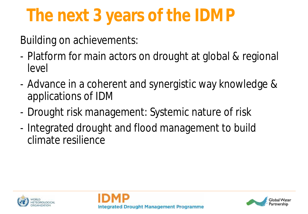# **The next 3 years of the IDMP**

Building on achievements:

- Platform for main actors on drought at global & regional level
- Advance in a coherent and synergistic way knowledge & applications of IDM
- Drought risk management: Systemic nature of risk
- Integrated drought and flood management to build climate resilience





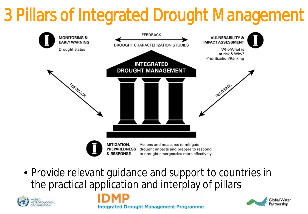# 3 Pillars of Integrated Drought Management



• Provide relevant guidance and support to countries in the practical application and interplay of pillars

**Integrated Drought Management Programme** 



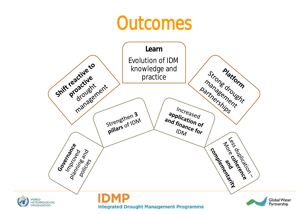# **Outcomes**

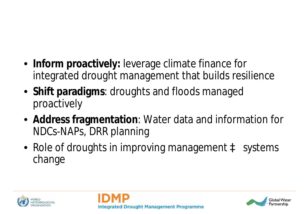- **Inform proactively:** leverage climate finance for integrated drought management that builds resilience
- **Shift paradigms**: droughts and floods managed proactively
- **Address fragmentation**: Water data and information for NDCs-NAPs, DRR planning
- Role of droughts in improving management **à** systems change





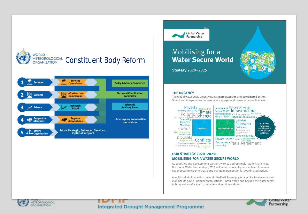





### **Mobilising for a Water Secure World**

**Strategy** 2020-2025

#### **THE URGENCY**

The global water crisis urgently needs more attention and coordinated action. Sound and integrated water resources management is needed more than ever.



#### **OUR STRATEGY 2020-2025: MOBILISING FOR A WATER SECURE WORLD**

As countries and development partners work to address major water challenges, the Global Water Partnership (GWP) will mobilise key players and learn from new experiences in order to create and maintain momentum for coordinated action.

A multi-stakeholder action network, GWP will leverage global policy frameworks and mobilise its 3,000+ partner organisations - both within and beyond the water sector to bring voices of water to the table and get things done.





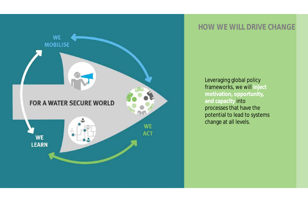

## **HOW WE WILL DRIVE CHANGE**

Leveraging global policy frameworks, we will **inject motivation, opportunity, and capacity** into processes that have the potential to lead to systems change at all levels.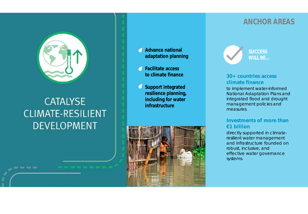

## **CATALYSE CLIMATE-RESILIENT DEVELOPMENT**

----

#### **Advance national adaptation planning**

- **Facilitate access to climate finance**
- **Support integrated resilience planning, including for water infrastructure**



### **ANCHOR AREAS**



#### **30+ countries access climate finance**

to implement water-informed National Adaptation Plans and integrated flood and drought management policies and measures.

#### **Investments of more than €1 billion**

directly supported in climateresilient water management and infrastructure founded on robust, inclusive, and effective water governance systems.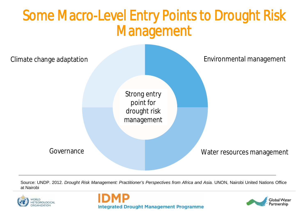# Some Macro-Level Entry Points to Drought Risk Management



Source: UNDP. 2012. *Drought Risk Management: Practitioner's Perspectives from Africa and Asia.* UNON, Nairobi United Nations Office at Nairobi





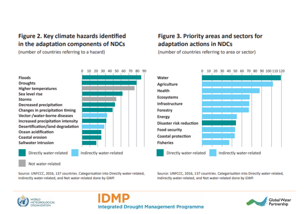### Figure 2. Key climate hazards identified in the adaptation components of NDCs

(number of countries referring to a hazard)

### Figure 3. Priority areas and sectors for adaptation actions in NDCs

(number of countries referring to area or sector)



Source: UNFCCC, 2016, 137 countries. Categorisation into Directly water-related, Indirectly water-related, and Not water-related done by GWP.

Source: UNFCCC, 2016, 137 countries. Categorisation into Directly water-related, Indirectly water-related, and Not water-related done by GWP.





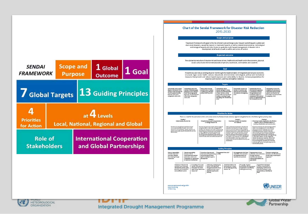





IN YET **METEOROLOGICAL ORGANIZATION** 

**Integrated Drought Management Programme**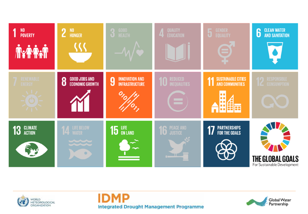





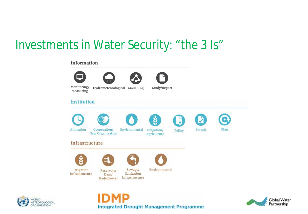## Investments in Water Security: "the 3 Is"

#### Information









Monitoring/ Measuring

Hydrometeorological Modelling

Study/Report

#### **Institution**



Allocation



New Organization



Irrigation/ Agriculture

ů





Infrastructure



Irrigation

Infrastructure



Dam/



Sewage/



Environmental

Reservoir/ Sanitation Infrastructure Hydropower



Policy